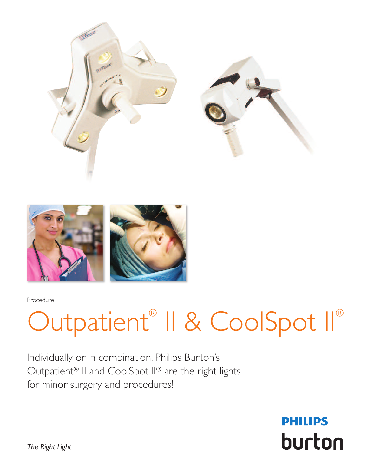



### Outpatient<sup>®</sup> II & CoolSpot II®

Individually or in combination, Philips Burton's Outpatient<sup>®</sup> II and CoolSpot II<sup>®</sup> are the right lights for minor surgery and procedures!

> **PHILIPS** burton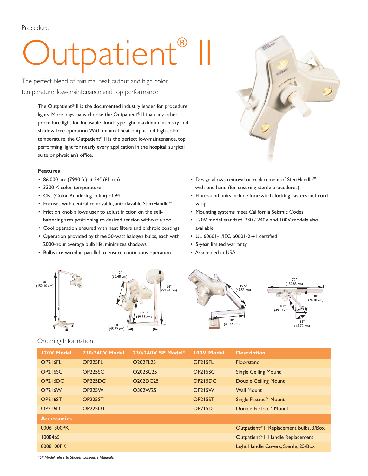## Outpatient<sup>®</sup> II

The perfect blend of minimal heat output and high color temperature, low-maintenance and top performance.

> The Outpatient® II is the documented industry leader for procedure lights. More physicians choose the Outpatient® II than any other procedure light for focusable flood-type light, maximum intensity and shadow-free operation.With minimal heat output and high color temperature, the Outpatient® II is the perfect low-maintenance, top performing light for nearly every application in the hospital, surgical suite or physician's office.

### **Features**

- 86,000 lux (7990 fc) at 24" (61 cm)
- 3300 K color temperature
- CRI (Color Rendering Index) of 94
- Focuses with central removable, autoclavable SteriHandle™
- Friction knob allows user to adjust friction on the selfbalancing arm positioning to desired tension without a tool
- Cool operation ensured with heat filters and dichroic coatings
- Operation provided by three 50-watt halogen bulbs, each with 2000-hour average bulb life, minimizes shadows
- Bulbs are wired in parallel to ensure continuous operation



- Design allows removal or replacement of SteriHandle™ with one hand (for ensuring sterile procedures)
- Floorstand units include footswitch, locking casters and cord wrap
- Mounting systems meet California Seismic Codes
- 120V model standard; 230 / 240V and 100V models also available
- UL 60601-1/IEC 60601-2-41 certified
- 5-year limited warranty
- Assembled in USA



### Ordering Information

| <b>120V Model</b>                 | 230/240V Model       | 230/240V SP Model*                | <b>100V Model</b>    | <b>Description</b>                                  |
|-----------------------------------|----------------------|-----------------------------------|----------------------|-----------------------------------------------------|
| OP216FL                           | OP <sub>225FL</sub>  | O202FL25                          | OP <sub>215FL</sub>  | Floorstand                                          |
| OP <sub>2</sub> 16 <sub>S</sub> C | OP225SC              | O202SC25                          | <b>OP215SC</b>       | <b>Single Ceiling Mount</b>                         |
| OP216DC                           | OP <sub>225</sub> DC | O <sub>202</sub> DC <sub>25</sub> | OP <sub>215</sub> DC | <b>Double Ceiling Mount</b>                         |
| <b>OP216W</b>                     | <b>OP225W</b>        | O302W25                           | <b>OP215W</b>        | <b>Wall Mount</b>                                   |
| <b>OP216ST</b>                    | OP <sub>225</sub> ST |                                   | <b>OP215ST</b>       | Single Fastrac <sup>™</sup> Mount                   |
| OP216DT                           | OP225DT              |                                   | OP215DT              | Double Fastrac™ Mount                               |
| <b>Accessories</b>                |                      |                                   |                      |                                                     |
| 00061300PK                        |                      |                                   |                      | Outpatient <sup>®</sup> II Replacement Bulbs, 3/Box |
| 1008465                           |                      |                                   |                      | Outpatient <sup>®</sup> Il Handle Replacement       |
| 0008100PK                         |                      |                                   |                      | Light Handle Covers, Sterile, 25/Box                |

*\*SP Model refers to Spanish Language Manuals.*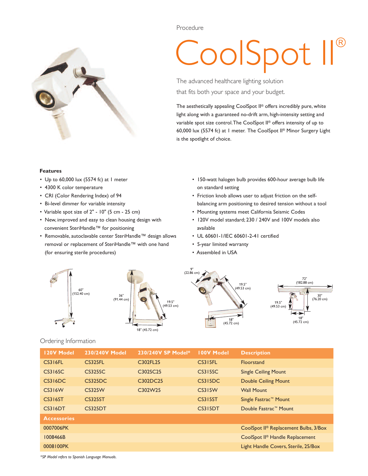

# CoolSpot II ®

The advanced healthcare lighting solution that fits both your space and your budget.

The aesthetically appealing CoolSpot II ® offers incredibly pure, white light along with a guaranteed no-drift arm, high-intensity setting and variable spot size control.The CoolSpot II ® offers intensity of up to 60,000 lux (5574 fc) at 1 meter. The CoolSpot II ® Minor Surgery Light is the spotlight of choice.

#### **Features**

- Up to 60,000 lux (5574 fc) at 1 meter
- 4300 K color temperature
- CRI (Color Rendering Index) of 94
- Bi-level dimmer for variable intensity
- Variable spot size of 2" 10" (5 cm 25 cm)
- New, improved and easy to clean housing design with convenient SteriHandle™ for positioning
- Removable, autoclavable center SteriHandle™ design allows removal or replacement of SteriHandle™ with one hand (for ensuring sterile procedures)
- 150-watt halogen bulb provides 600-hour average bulb life on standard setting
- Friction knob allows user to adjust friction on the selfbalancing arm positioning to desired tension without a tool
- Mounting systems meet California Seismic Codes
- 120V model standard; 230 / 240V and 100V models also available
- UL 60601-1/IEC 60601-2-41 certified
- 5-year limited warranty
- Assembled in USA



### Ordering Information

| 120V Model         | 230/240V Model | 230/240V SP Model* | <b>100V Model</b> | <b>Description</b>                                |
|--------------------|----------------|--------------------|-------------------|---------------------------------------------------|
| <b>CS316FL</b>     | <b>CS325FL</b> | C302FL25           | <b>CS315FL</b>    | <b>Floorstand</b>                                 |
| CS316SC            | <b>CS325SC</b> | C302SC25           | CS315SC           | <b>Single Ceiling Mount</b>                       |
| <b>CS316DC</b>     | <b>CS325DC</b> | C302DC25           | CS315DC           | <b>Double Ceiling Mount</b>                       |
| <b>CS316W</b>      | <b>CS325W</b>  | C302W25            | <b>CS315W</b>     | <b>Wall Mount</b>                                 |
| <b>CS316ST</b>     | <b>CS325ST</b> |                    | <b>CS315ST</b>    | Single Fastrac™ Mount                             |
| CS316DT            | <b>CS325DT</b> |                    | CS315DT           | Double Fastrac™ Mount                             |
| <b>Accessories</b> |                |                    |                   |                                                   |
| 0007006PK          |                |                    |                   | CoolSpot II <sup>®</sup> Replacement Bulbs, 3/Box |
| 1008466B           |                |                    |                   | CoolSpot II <sup>®</sup> Handle Replacement       |
| 0008100PK          |                |                    |                   | Light Handle Covers, Sterile, 25/Box              |

*\*SP Model refers to Spanish Language Manuals.*